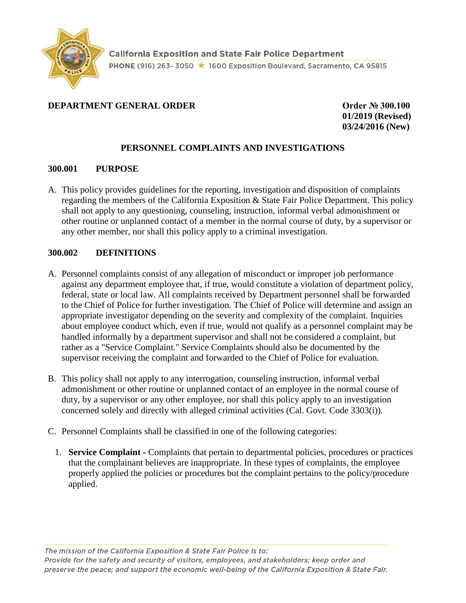

## **DEPARTMENT GENERAL ORDER COMPONENT ORDER Order № 300.100**

**01/2019 (Revised) 03/24/2016 (New)** 

### **PERSONNEL COMPLAINTS AND INVESTIGATIONS**

#### **300.001 PURPOSE**

A. This policy provides guidelines for the reporting, investigation and disposition of complaints regarding the members of the California Exposition & State Fair Police Department. This policy shall not apply to any questioning, counseling, instruction, informal verbal admonishment or other routine or unplanned contact of a member in the normal course of duty, by a supervisor or any other member, nor shall this policy apply to a criminal investigation.

### **300.002 DEFINITIONS**

- A. Personnel complaints consist of any allegation of misconduct or improper job performance against any department employee that, if true, would constitute a violation of department policy, federal, state or local law. All complaints received by Department personnel shall be forwarded to the Chief of Police for further investigation. The Chief of Police will determine and assign an appropriate investigator depending on the severity and complexity of the complaint. Inquiries about employee conduct which, even if true, would not qualify as a personnel complaint may be handled informally by a department supervisor and shall not be considered a complaint, but rather as a "Service Complaint." Service Complaints should also be documented by the supervisor receiving the complaint and forwarded to the Chief of Police for evaluation.
- B. This policy shall not apply to any interrogation, counseling instruction, informal verbal admonishment or other routine or unplanned contact of an employee in the normal course of duty, by a supervisor or any other employee, nor shall this policy apply to an investigation concerned solely and directly with alleged criminal activities (Cal. Govt. Code 3303(i)).
- C. Personnel Complaints shall be classified in one of the following categories:
	- 1. **Service Complaint -** Complaints that pertain to departmental policies, procedures or practices that the complainant believes are inappropriate. In these types of complaints, the employee properly applied the policies or procedures but the complaint pertains to the policy/procedure applied.

The mission of the California Exposition & State Fair Police is to: Provide for the safety and security of visitors, employees, and stakeholders; keep order and preserve the peace; and support the economic well-being of the California Exposition & State Fair.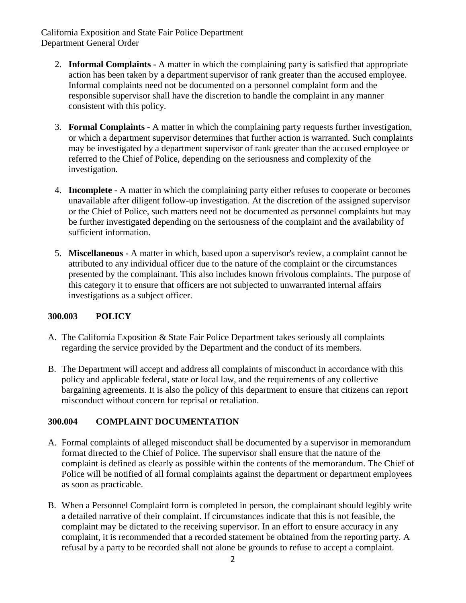- 2. **Informal Complaints -** A matter in which the complaining party is satisfied that appropriate action has been taken by a department supervisor of rank greater than the accused employee. Informal complaints need not be documented on a personnel complaint form and the responsible supervisor shall have the discretion to handle the complaint in any manner consistent with this policy.
- 3. **Formal Complaints -** A matter in which the complaining party requests further investigation, or which a department supervisor determines that further action is warranted. Such complaints may be investigated by a department supervisor of rank greater than the accused employee or referred to the Chief of Police, depending on the seriousness and complexity of the investigation.
- 4. **Incomplete -** A matter in which the complaining party either refuses to cooperate or becomes unavailable after diligent follow-up investigation. At the discretion of the assigned supervisor or the Chief of Police, such matters need not be documented as personnel complaints but may be further investigated depending on the seriousness of the complaint and the availability of sufficient information.
- 5. **Miscellaneous -** A matter in which, based upon a supervisor's review, a complaint cannot be attributed to any individual officer due to the nature of the complaint or the circumstances presented by the complainant. This also includes known frivolous complaints. The purpose of this category it to ensure that officers are not subjected to unwarranted internal affairs investigations as a subject officer.

### **300.003 POLICY**

- A. The California Exposition & State Fair Police Department takes seriously all complaints regarding the service provided by the Department and the conduct of its members.
- B. The Department will accept and address all complaints of misconduct in accordance with this policy and applicable federal, state or local law, and the requirements of any collective bargaining agreements. It is also the policy of this department to ensure that citizens can report misconduct without concern for reprisal or retaliation.

### **300.004 COMPLAINT DOCUMENTATION**

- A. Formal complaints of alleged misconduct shall be documented by a supervisor in memorandum format directed to the Chief of Police. The supervisor shall ensure that the nature of the complaint is defined as clearly as possible within the contents of the memorandum. The Chief of Police will be notified of all formal complaints against the department or department employees as soon as practicable.
- B. When a Personnel Complaint form is completed in person, the complainant should legibly write a detailed narrative of their complaint. If circumstances indicate that this is not feasible, the complaint may be dictated to the receiving supervisor. In an effort to ensure accuracy in any complaint, it is recommended that a recorded statement be obtained from the reporting party. A refusal by a party to be recorded shall not alone be grounds to refuse to accept a complaint.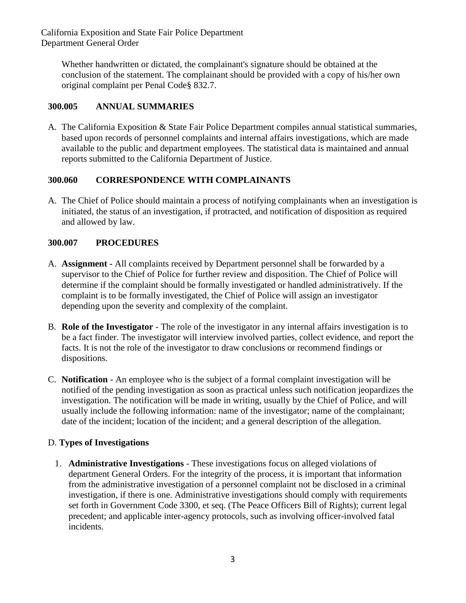Whether handwritten or dictated, the complainant's signature should be obtained at the conclusion of the statement. The complainant should be provided with a copy of his/her own original complaint per Penal Code§ 832.7.

# **300.005 ANNUAL SUMMARIES**

A. The California Exposition & State Fair Police Department compiles annual statistical summaries, based upon records of personnel complaints and internal affairs investigations, which are made available to the public and department employees. The statistical data is maintained and annual reports submitted to the California Department of Justice.

# **300.060 CORRESPONDENCE WITH COMPLAINANTS**

A. The Chief of Police should maintain a process of notifying complainants when an investigation is initiated, the status of an investigation, if protracted, and notification of disposition as required and allowed by law.

# **300.007 PROCEDURES**

- A. **Assignment -** All complaints received by Department personnel shall be forwarded by a supervisor to the Chief of Police for further review and disposition. The Chief of Police will determine if the complaint should be formally investigated or handled administratively. If the complaint is to be formally investigated, the Chief of Police will assign an investigator depending upon the severity and complexity of the complaint.
- B. **Role of the Investigator**  The role of the investigator in any internal affairs investigation is to be a fact finder. The investigator will interview involved parties, collect evidence, and report the facts. It is not the role of the investigator to draw conclusions or recommend findings or dispositions.
- C. **Notification**  An employee who is the subject of a formal complaint investigation will be notified of the pending investigation as soon as practical unless such notification jeopardizes the investigation. The notification will be made in writing, usually by the Chief of Police, and will usually include the following information: name of the investigator; name of the complainant; date of the incident; location of the incident; and a general description of the allegation.

# D. **Types of Investigations**

1. **Administrative Investigations** - These investigations focus on alleged violations of department General Orders. For the integrity of the process, it is important that information from the administrative investigation of a personnel complaint not be disclosed in a criminal investigation, if there is one. Administrative investigations should comply with requirements set forth in Government Code 3300, et seq. (The Peace Officers Bill of Rights); current legal precedent; and applicable inter-agency protocols, such as involving officer-involved fatal incidents.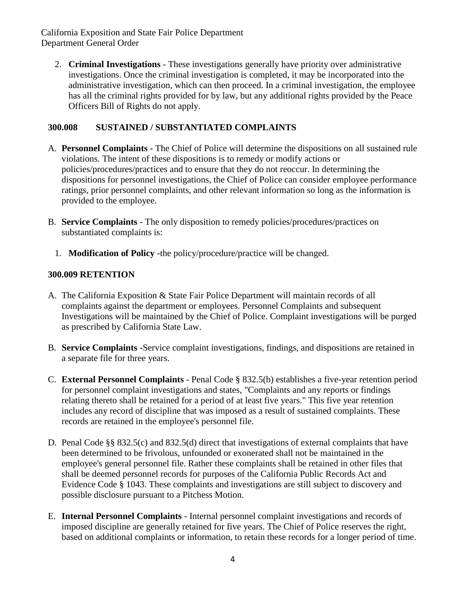2. **Criminal Investigations** - These investigations generally have priority over administrative investigations. Once the criminal investigation is completed, it may be incorporated into the administrative investigation, which can then proceed. In a criminal investigation, the employee has all the criminal rights provided for by law, but any additional rights provided by the Peace Officers Bill of Rights do not apply.

## **300.008 SUSTAINED / SUBSTANTIATED COMPLAINTS**

- A. **Personnel Complaints -** The Chief of Police will determine the dispositions on all sustained rule violations. The intent of these dispositions is to remedy or modify actions or policies/procedures/practices and to ensure that they do not reoccur. In determining the dispositions for personnel investigations, the Chief of Police can consider employee performance ratings, prior personnel complaints, and other relevant information so long as the information is provided to the employee.
- B. **Service Complaints**  The only disposition to remedy policies/procedures/practices on substantiated complaints is:
	- 1. **Modification of Policy** -the policy/procedure/practice will be changed.

## **300.009 RETENTION**

- A. The California Exposition & State Fair Police Department will maintain records of all complaints against the department or employees. Personnel Complaints and subsequent Investigations will be maintained by the Chief of Police. Complaint investigations will be purged as prescribed by California State Law.
- B. **Service Complaints -**Service complaint investigations, findings, and dispositions are retained in a separate file for three years.
- C. **External Personnel Complaints**  Penal Code § 832.5(b) establishes a five-year retention period for personnel complaint investigations and states, "Complaints and any reports or findings relating thereto shall be retained for a period of at least five years." This five year retention includes any record of discipline that was imposed as a result of sustained complaints. These records are retained in the employee's personnel file.
- D. Penal Code §§ 832.5(c) and 832.5(d) direct that investigations of external complaints that have been determined to be frivolous, unfounded or exonerated shall not be maintained in the employee's general personnel file. Rather these complaints shall be retained in other files that shall be deemed personnel records for purposes of the California Public Records Act and Evidence Code § 1043. These complaints and investigations are still subject to discovery and possible disclosure pursuant to a Pitchess Motion.
- E. **Internal Personnel Complaints**  Internal personnel complaint investigations and records of imposed discipline are generally retained for five years. The Chief of Police reserves the right, based on additional complaints or information, to retain these records for a longer period of time.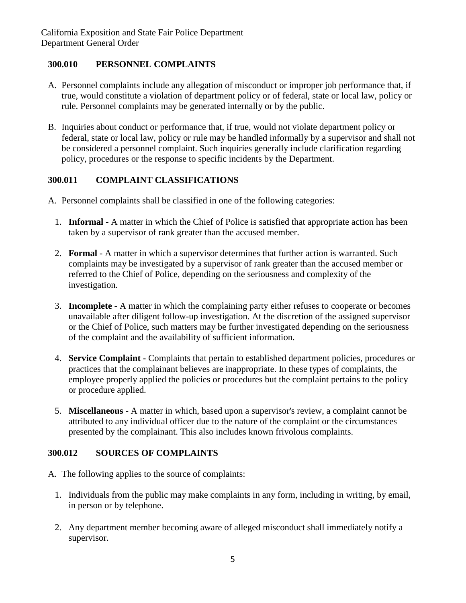## **300.010 PERSONNEL COMPLAINTS**

- A. Personnel complaints include any allegation of misconduct or improper job performance that, if true, would constitute a violation of department policy or of federal, state or local law, policy or rule. Personnel complaints may be generated internally or by the public.
- B. Inquiries about conduct or performance that, if true, would not violate department policy or federal, state or local law, policy or rule may be handled informally by a supervisor and shall not be considered a personnel complaint. Such inquiries generally include clarification regarding policy, procedures or the response to specific incidents by the Department.

## **300.011 COMPLAINT CLASSIFICATIONS**

- A. Personnel complaints shall be classified in one of the following categories:
	- 1. **Informal**  A matter in which the Chief of Police is satisfied that appropriate action has been taken by a supervisor of rank greater than the accused member.
	- 2. **Formal**  A matter in which a supervisor determines that further action is warranted. Such complaints may be investigated by a supervisor of rank greater than the accused member or referred to the Chief of Police, depending on the seriousness and complexity of the investigation.
	- 3. **Incomplete**  A matter in which the complaining party either refuses to cooperate or becomes unavailable after diligent follow-up investigation. At the discretion of the assigned supervisor or the Chief of Police, such matters may be further investigated depending on the seriousness of the complaint and the availability of sufficient information.
	- 4. **Service Complaint -** Complaints that pertain to established department policies, procedures or practices that the complainant believes are inappropriate. In these types of complaints, the employee properly applied the policies or procedures but the complaint pertains to the policy or procedure applied.
	- 5. **Miscellaneous**  A matter in which, based upon a supervisor's review, a complaint cannot be attributed to any individual officer due to the nature of the complaint or the circumstances presented by the complainant. This also includes known frivolous complaints.

# **300.012 SOURCES OF COMPLAINTS**

- A. The following applies to the source of complaints:
	- 1. Individuals from the public may make complaints in any form, including in writing, by email, in person or by telephone.
	- 2. Any department member becoming aware of alleged misconduct shall immediately notify a supervisor.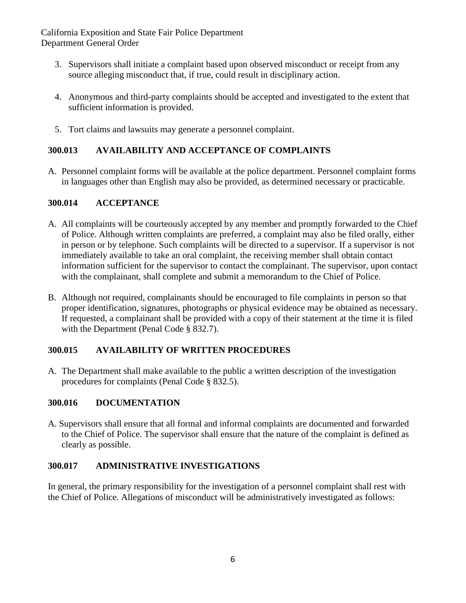- 3. Supervisors shall initiate a complaint based upon observed misconduct or receipt from any source alleging misconduct that, if true, could result in disciplinary action.
- 4. Anonymous and third-party complaints should be accepted and investigated to the extent that sufficient information is provided.
- 5. Tort claims and lawsuits may generate a personnel complaint.

# **300.013 AVAILABILITY AND ACCEPTANCE OF COMPLAINTS**

A. Personnel complaint forms will be available at the police department. Personnel complaint forms in languages other than English may also be provided, as determined necessary or practicable.

## **300.014 ACCEPTANCE**

- A. All complaints will be courteously accepted by any member and promptly forwarded to the Chief of Police. Although written complaints are preferred, a complaint may also be filed orally, either in person or by telephone. Such complaints will be directed to a supervisor. If a supervisor is not immediately available to take an oral complaint, the receiving member shall obtain contact information sufficient for the supervisor to contact the complainant. The supervisor, upon contact with the complainant, shall complete and submit a memorandum to the Chief of Police.
- B. Although not required, complainants should be encouraged to file complaints in person so that proper identification, signatures, photographs or physical evidence may be obtained as necessary. If requested, a complainant shall be provided with a copy of their statement at the time it is filed with the Department (Penal Code § 832.7).

# **300.015 AVAILABILITY OF WRITTEN PROCEDURES**

A. The Department shall make available to the public a written description of the investigation procedures for complaints (Penal Code § 832.5).

### **300.016 DOCUMENTATION**

A. Supervisors shall ensure that all formal and informal complaints are documented and forwarded to the Chief of Police. The supervisor shall ensure that the nature of the complaint is defined as clearly as possible.

# **300.017 ADMINISTRATIVE INVESTIGATIONS**

In general, the primary responsibility for the investigation of a personnel complaint shall rest with the Chief of Police. Allegations of misconduct will be administratively investigated as follows: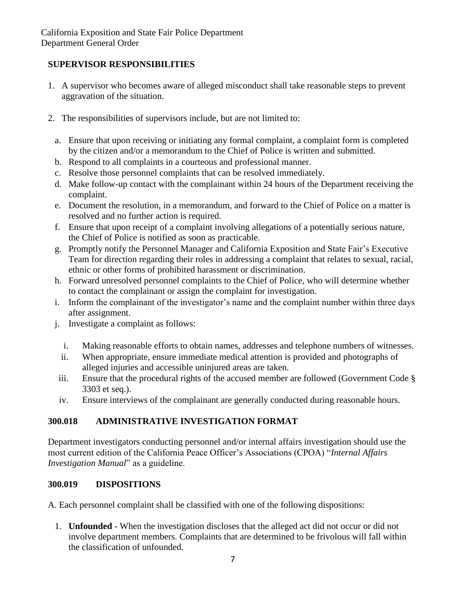# **SUPERVISOR RESPONSIBILITIES**

- 1. A supervisor who becomes aware of alleged misconduct shall take reasonable steps to prevent aggravation of the situation.
- 2. The responsibilities of supervisors include, but are not limited to:
	- a. Ensure that upon receiving or initiating any formal complaint, a complaint form is completed by the citizen and/or a memorandum to the Chief of Police is written and submitted.
	- b. Respond to all complaints in a courteous and professional manner.
	- c. Resolve those personnel complaints that can be resolved immediately.
	- d. Make follow-up contact with the complainant within 24 hours of the Department receiving the complaint.
	- e. Document the resolution, in a memorandum, and forward to the Chief of Police on a matter is resolved and no further action is required.
	- f. Ensure that upon receipt of a complaint involving allegations of a potentially serious nature, the Chief of Police is notified as soon as practicable.
	- g. Promptly notify the Personnel Manager and California Exposition and State Fair's Executive Team for direction regarding their roles in addressing a complaint that relates to sexual, racial, ethnic or other forms of prohibited harassment or discrimination.
	- h. Forward unresolved personnel complaints to the Chief of Police, who will determine whether to contact the complainant or assign the complaint for investigation.
	- i. Inform the complainant of the investigator's name and the complaint number within three days after assignment.
	- j. Investigate a complaint as follows:
		- i. Making reasonable efforts to obtain names, addresses and telephone numbers of witnesses.
		- ii. When appropriate, ensure immediate medical attention is provided and photographs of alleged injuries and accessible uninjured areas are taken.
	- iii. Ensure that the procedural rights of the accused member are followed (Government Code § 3303 et seq.).
	- iv. Ensure interviews of the complainant are generally conducted during reasonable hours.

# **300.018 ADMINISTRATIVE INVESTIGATION FORMAT**

Department investigators conducting personnel and/or internal affairs investigation should use the most current edition of the California Peace Officer's Associations (CPOA) "*Internal Affairs Investigation Manual*" as a guideline.

# **300.019 DISPOSITIONS**

A. Each personnel complaint shall be classified with one of the following dispositions:

1. **Unfounded** - When the investigation discloses that the alleged act did not occur or did not involve department members. Complaints that are determined to be frivolous will fall within the classification of unfounded.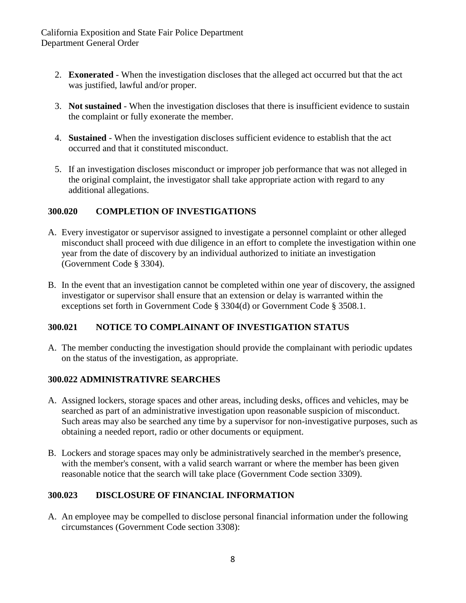- 2. **Exonerated**  When the investigation discloses that the alleged act occurred but that the act was justified, lawful and/or proper.
- 3. **Not sustained**  When the investigation discloses that there is insufficient evidence to sustain the complaint or fully exonerate the member.
- 4. **Sustained**  When the investigation discloses sufficient evidence to establish that the act occurred and that it constituted misconduct.
- 5. If an investigation discloses misconduct or improper job performance that was not alleged in the original complaint, the investigator shall take appropriate action with regard to any additional allegations.

## **300.020 COMPLETION OF INVESTIGATIONS**

- A. Every investigator or supervisor assigned to investigate a personnel complaint or other alleged misconduct shall proceed with due diligence in an effort to complete the investigation within one year from the date of discovery by an individual authorized to initiate an investigation (Government Code § 3304).
- B. In the event that an investigation cannot be completed within one year of discovery, the assigned investigator or supervisor shall ensure that an extension or delay is warranted within the exceptions set forth in Government Code § 3304(d) or Government Code § 3508.1.

# **300.021 NOTICE TO COMPLAINANT OF INVESTIGATION STATUS**

A. The member conducting the investigation should provide the complainant with periodic updates on the status of the investigation, as appropriate.

### **300.022 ADMINISTRATIVRE SEARCHES**

- A. Assigned lockers, storage spaces and other areas, including desks, offices and vehicles, may be searched as part of an administrative investigation upon reasonable suspicion of misconduct. Such areas may also be searched any time by a supervisor for non-investigative purposes, such as obtaining a needed report, radio or other documents or equipment.
- B. Lockers and storage spaces may only be administratively searched in the member's presence, with the member's consent, with a valid search warrant or where the member has been given reasonable notice that the search will take place (Government Code section 3309).

### **300.023 DISCLOSURE OF FINANCIAL INFORMATION**

A. An employee may be compelled to disclose personal financial information under the following circumstances (Government Code section 3308):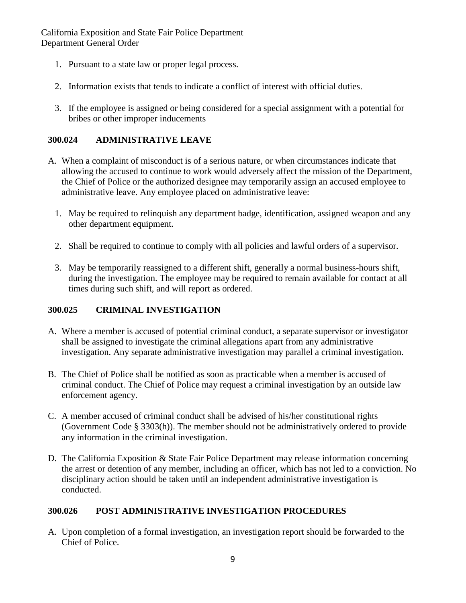- 1. Pursuant to a state law or proper legal process.
- 2. Information exists that tends to indicate a conflict of interest with official duties.
- 3. If the employee is assigned or being considered for a special assignment with a potential for bribes or other improper inducements

### **300.024 ADMINISTRATIVE LEAVE**

- A. When a complaint of misconduct is of a serious nature, or when circumstances indicate that allowing the accused to continue to work would adversely affect the mission of the Department, the Chief of Police or the authorized designee may temporarily assign an accused employee to administrative leave. Any employee placed on administrative leave:
	- 1. May be required to relinquish any department badge, identification, assigned weapon and any other department equipment.
	- 2. Shall be required to continue to comply with all policies and lawful orders of a supervisor.
	- 3. May be temporarily reassigned to a different shift, generally a normal business-hours shift, during the investigation. The employee may be required to remain available for contact at all times during such shift, and will report as ordered.

### **300.025 CRIMINAL INVESTIGATION**

- A. Where a member is accused of potential criminal conduct, a separate supervisor or investigator shall be assigned to investigate the criminal allegations apart from any administrative investigation. Any separate administrative investigation may parallel a criminal investigation.
- B. The Chief of Police shall be notified as soon as practicable when a member is accused of criminal conduct. The Chief of Police may request a criminal investigation by an outside law enforcement agency.
- C. A member accused of criminal conduct shall be advised of his/her constitutional rights (Government Code § 3303(h)). The member should not be administratively ordered to provide any information in the criminal investigation.
- D. The California Exposition & State Fair Police Department may release information concerning the arrest or detention of any member, including an officer, which has not led to a conviction. No disciplinary action should be taken until an independent administrative investigation is conducted.

### **300.026 POST ADMINISTRATIVE INVESTIGATION PROCEDURES**

A. Upon completion of a formal investigation, an investigation report should be forwarded to the Chief of Police.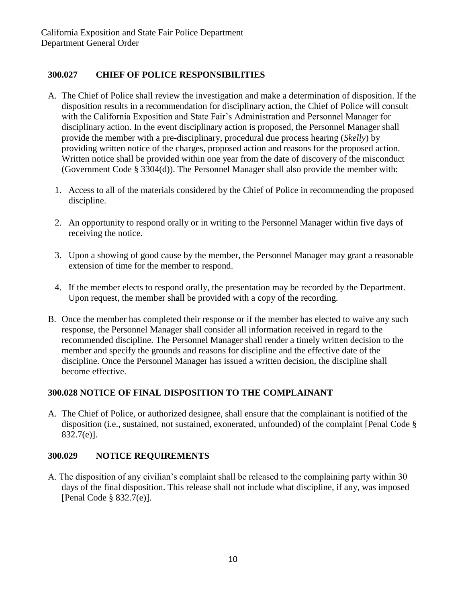## **300.027 CHIEF OF POLICE RESPONSIBILITIES**

- A. The Chief of Police shall review the investigation and make a determination of disposition. If the disposition results in a recommendation for disciplinary action, the Chief of Police will consult with the California Exposition and State Fair's Administration and Personnel Manager for disciplinary action. In the event disciplinary action is proposed, the Personnel Manager shall provide the member with a pre-disciplinary, procedural due process hearing (*Skelly*) by providing written notice of the charges, proposed action and reasons for the proposed action. Written notice shall be provided within one year from the date of discovery of the misconduct (Government Code § 3304(d)). The Personnel Manager shall also provide the member with:
	- 1. Access to all of the materials considered by the Chief of Police in recommending the proposed discipline.
	- 2. An opportunity to respond orally or in writing to the Personnel Manager within five days of receiving the notice.
	- 3. Upon a showing of good cause by the member, the Personnel Manager may grant a reasonable extension of time for the member to respond.
	- 4. If the member elects to respond orally, the presentation may be recorded by the Department. Upon request, the member shall be provided with a copy of the recording.
- B. Once the member has completed their response or if the member has elected to waive any such response, the Personnel Manager shall consider all information received in regard to the recommended discipline. The Personnel Manager shall render a timely written decision to the member and specify the grounds and reasons for discipline and the effective date of the discipline. Once the Personnel Manager has issued a written decision, the discipline shall become effective.

# **300.028 NOTICE OF FINAL DISPOSITION TO THE COMPLAINANT**

A. The Chief of Police, or authorized designee, shall ensure that the complainant is notified of the disposition (i.e., sustained, not sustained, exonerated, unfounded) of the complaint [Penal Code § 832.7(e)].

### **300.029 NOTICE REQUIREMENTS**

A. The disposition of any civilian's complaint shall be released to the complaining party within 30 days of the final disposition. This release shall not include what discipline, if any, was imposed [Penal Code § 832.7(e)].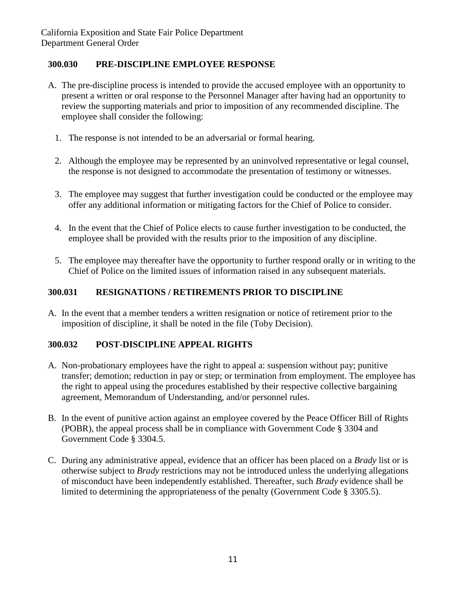# **300.030 PRE-DISCIPLINE EMPLOYEE RESPONSE**

- A. The pre-discipline process is intended to provide the accused employee with an opportunity to present a written or oral response to the Personnel Manager after having had an opportunity to review the supporting materials and prior to imposition of any recommended discipline. The employee shall consider the following:
	- 1. The response is not intended to be an adversarial or formal hearing.
	- 2. Although the employee may be represented by an uninvolved representative or legal counsel, the response is not designed to accommodate the presentation of testimony or witnesses.
	- 3. The employee may suggest that further investigation could be conducted or the employee may offer any additional information or mitigating factors for the Chief of Police to consider.
	- 4. In the event that the Chief of Police elects to cause further investigation to be conducted, the employee shall be provided with the results prior to the imposition of any discipline.
	- 5. The employee may thereafter have the opportunity to further respond orally or in writing to the Chief of Police on the limited issues of information raised in any subsequent materials.

## **300.031 RESIGNATIONS / RETIREMENTS PRIOR TO DISCIPLINE**

A. In the event that a member tenders a written resignation or notice of retirement prior to the imposition of discipline, it shall be noted in the file (Toby Decision).

## **300.032 POST-DISCIPLINE APPEAL RIGHTS**

- A. Non-probationary employees have the right to appeal a: suspension without pay; punitive transfer; demotion; reduction in pay or step; or termination from employment. The employee has the right to appeal using the procedures established by their respective collective bargaining agreement, Memorandum of Understanding, and/or personnel rules.
- B. In the event of punitive action against an employee covered by the Peace Officer Bill of Rights (POBR), the appeal process shall be in compliance with Government Code § 3304 and Government Code § 3304.5.
- C. During any administrative appeal, evidence that an officer has been placed on a *Brady* list or is otherwise subject to *Brady* restrictions may not be introduced unless the underlying allegations of misconduct have been independently established. Thereafter, such *Brady* evidence shall be limited to determining the appropriateness of the penalty (Government Code § 3305.5).